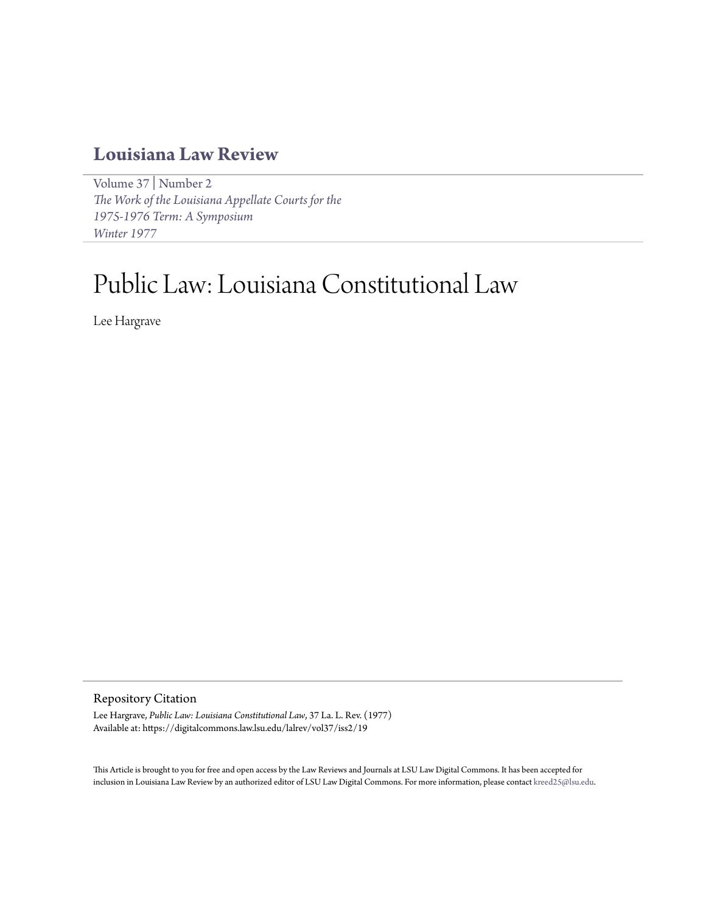# **[Louisiana Law Review](https://digitalcommons.law.lsu.edu/lalrev)**

[Volume 37](https://digitalcommons.law.lsu.edu/lalrev/vol37) | [Number 2](https://digitalcommons.law.lsu.edu/lalrev/vol37/iss2) *[The Work of the Louisiana Appellate Courts for the](https://digitalcommons.law.lsu.edu/lalrev/vol37/iss2) [1975-1976 Term: A Symposium](https://digitalcommons.law.lsu.edu/lalrev/vol37/iss2) [Winter 1977](https://digitalcommons.law.lsu.edu/lalrev/vol37/iss2)*

# Public Law: Louisiana Constitutional Law

Lee Hargrave

# Repository Citation

Lee Hargrave, *Public Law: Louisiana Constitutional Law*, 37 La. L. Rev. (1977) Available at: https://digitalcommons.law.lsu.edu/lalrev/vol37/iss2/19

This Article is brought to you for free and open access by the Law Reviews and Journals at LSU Law Digital Commons. It has been accepted for inclusion in Louisiana Law Review by an authorized editor of LSU Law Digital Commons. For more information, please contact [kreed25@lsu.edu](mailto:kreed25@lsu.edu).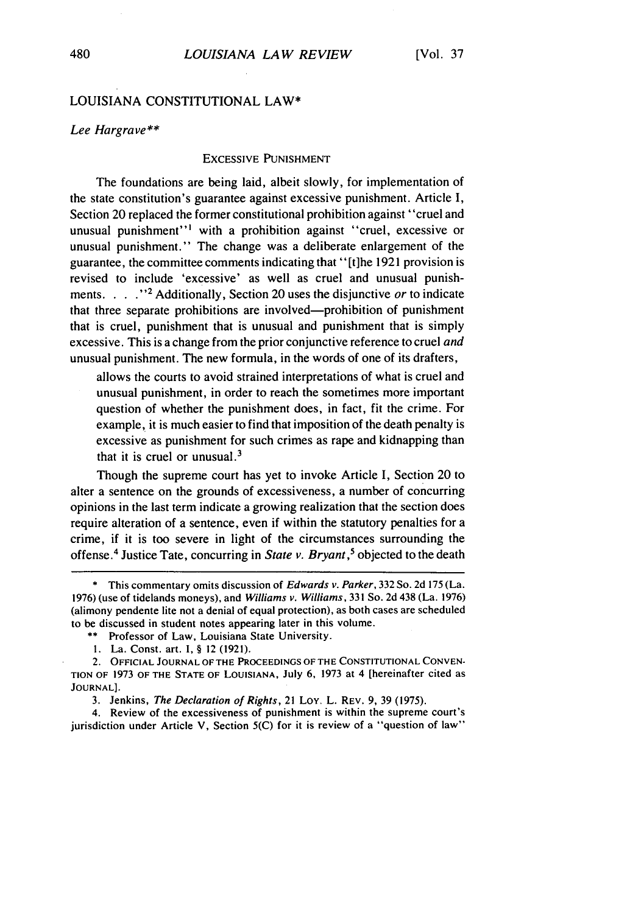# LOUISIANA CONSTITUTIONAL LAW\*

#### *Lee Hargrave\*\**

#### EXCESSIVE PUNISHMENT

The foundations are being laid, albeit slowly, for implementation of the state constitution's guarantee against excessive punishment. Article I, Section 20 replaced the former constitutional prohibition against "cruel and unusual punishment"' with a prohibition against "cruel, excessive or unusual punishment." The change was a deliberate enlargement of the guarantee, the committee comments indicating that" [t]he 1921 provision is revised to include 'excessive' as well as cruel and unusual punishments. . . .<sup>22</sup> Additionally, Section 20 uses the disjunctive *or* to indicate that three separate prohibitions are involved-prohibition of punishment that is cruel, punishment that is unusual and punishment that is simply excessive. This is a change from the prior conjunctive reference to cruel *and* unusual punishment. The new formula, in the words of one of its drafters,

allows the courts to avoid strained interpretations of what is cruel and unusual punishment, in order to reach the sometimes more important question of whether the punishment does, in fact, fit the crime. For example, it is much easier to find that imposition of the death penalty is excessive as punishment for such crimes as rape and kidnapping than that it is cruel or unusual. $3$ 

Though the supreme court has yet to invoke Article I, Section 20 to alter a sentence on the grounds of excessiveness, a number of concurring opinions in the last term indicate a growing realization that the section does require alteration of a sentence, even if within the statutory penalties for a crime, if it is too severe in light of the circumstances surrounding the offense.4 Justice Tate, concurring in *State v. Bryant,5* objected to the death

4. Review of the excessiveness of punishment is within the supreme court's jurisdiction under Article V, Section 5(C) for it is review of a "question of law"

<sup>\*</sup> This commentary omits discussion of Edwards v. Parker, 332 So. 2d 175 (La. 1976) (use of tidelands moneys), and Williams v. Williams, 331 So. 2d 438 (La. 1976) (alimony pendente lite not a denial of equal protection), as both cases are scheduled to be discussed in student notes appearing later in this volume.

<sup>\*\*</sup> Professor of Law, Louisiana State University.

I. La. Const. art. I, § 12 (1921).

<sup>2.</sup> **OFFICIAL JOURNAL** OF **THE PROCEEDINGS** OF **THE CONSTITUTIONAL CONVEN-TION** OF 1973 **OF THE STATE OF** LOUISIANA, July 6, 1973 at 4 [hereinafter cited as **JOURNAL].**

<sup>3.</sup> Jenkins, *The Declaration of Rights,* 21 Loy. L. REV. 9, 39 (1975).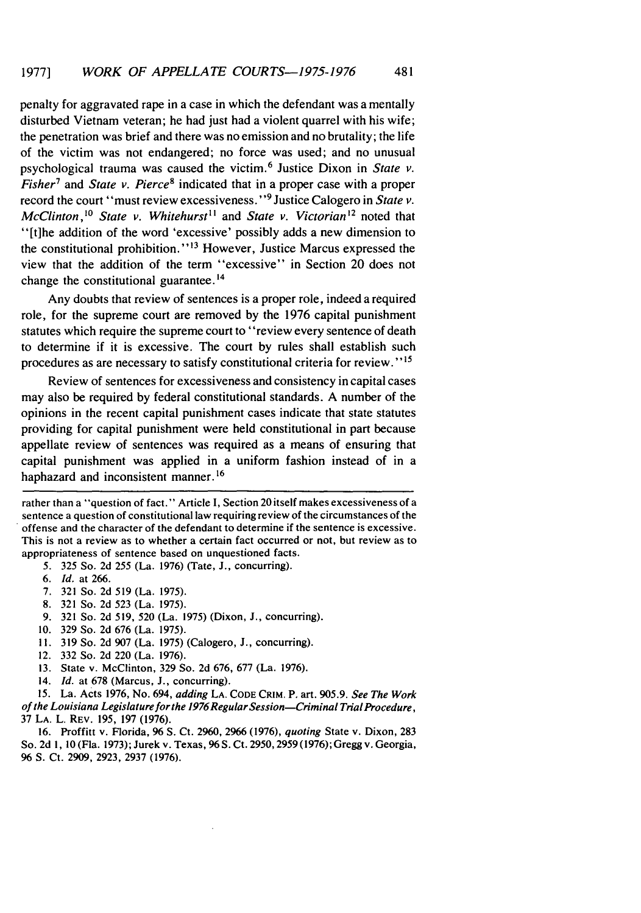penalty for aggravated rape in a case in which the defendant was a mentally disturbed Vietnam veteran; he had just had a violent quarrel with his wife; the penetration was brief and there was no emission and no brutality; the life of the victim was not endangered; no force was used; and no unusual psychological trauma was caused the victim. 6 Justice Dixon in *State v. Fisher<sup>7</sup>* and *State v. Pierce<sup>8</sup>* indicated that in a proper case with a proper record the court "must review excessiveness." 9 Justice Calogero in *State v. McClinton,<sup>10</sup> State v. Whitehurst*<sup>11</sup> and *State v. Victorian*<sup>12</sup> noted that "[t]he addition of the word 'excessive' possibly adds a new dimension to the constitutional prohibition."<sup>13</sup> However, Justice Marcus expressed the view that the addition of the term "excessive" in Section 20 does not change the constitutional guarantee.<sup>14</sup>

Any doubts that review of sentences is a proper role, indeed a required role, for the supreme court are removed by the 1976 capital punishment statutes which require the supreme court to "review every sentence of death to determine if it is excessive. The court by rules shall establish such procedures as are necessary to satisfy constitutional criteria for review."15

Review of sentences for excessiveness and consistency in capital cases may also be required by federal constitutional standards. A number of the opinions in the recent capital punishment cases indicate that state statutes providing for capital punishment were held constitutional in part because appellate review of sentences was required as a means of ensuring that capital punishment was applied in a uniform fashion instead of in a haphazard and inconsistent manner. **16**

rather than a "question of fact." Article I, Section 20 itself makes excessiveness of a sentence a question of constitutional law requiring review of the circumstances of the offense and the character of the defendant to determine if the sentence is excessive. This is not a review as to whether a certain fact occurred or not, but review as to appropriateness of sentence based on unquestioned facts.

5. 325 So. 2d 255 (La. 1976) (Tate, **J.,** concurring).

- *6. Id.* at 266.
- 7. 321 So. 2d 519 (La. 1975).
- 8. 321 So. 2d 523 (La. 1975).
- 9. 321 So. 2d 519, 520 (La. 1975) (Dixon, J., concurring).
- 10. 329 So. 2d 676 (La. 1975).
- **11.** 319 So. 2d 907 (La. 1975) (Calogero, J., concurring).
- 12. 332 So. 2d 220 (La. 1976).
- 13. State v. McClinton, 329 So. 2d 676, 677 (La. 1976).
- 14. *Id.* at 678 (Marcus, J., concurring).

15. La. Acts 1976, No. 694, *adding* LA. CODE CRIM. P. art. 905.9. *See The Work of* the Louisiana Legislature *forthe 1976RegularSession-Criminal* TrialProcedure, 37 LA. L. REV. 195, 197 (1976).

16. Proffitt v. Florida, **96** S. Ct. 2960, 2966 (1976), *quoting* State v. Dixon, 283 So. 2d **1,** 10 (Fla. 1973); Jurek v. Texas, 96 S. Ct. 2950, 2959 (1976); Gregg v. Georgia, 96 **S.** Ct. 2909, 2923, 2937 (1976).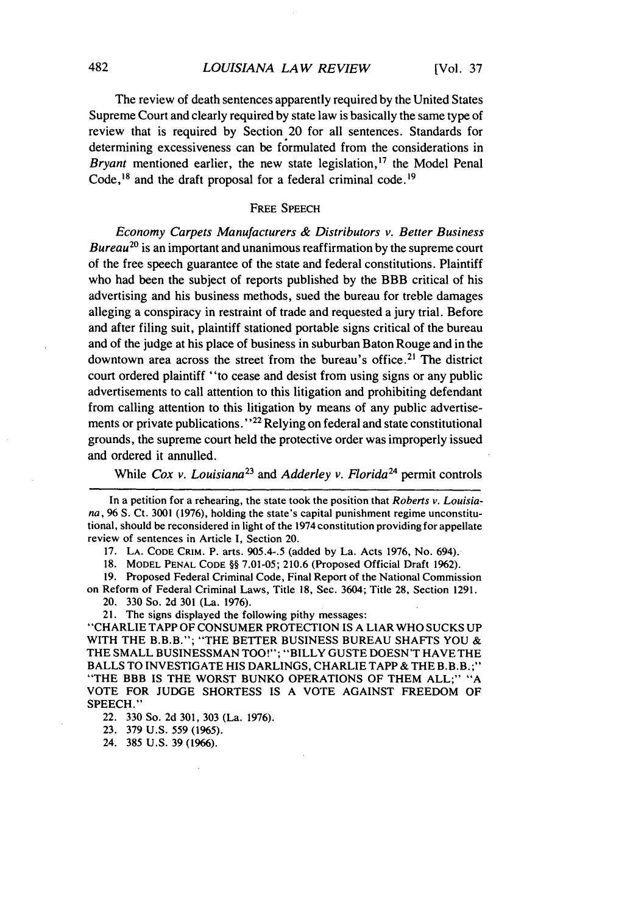The review of death sentences apparently required by the United States Supreme Court and clearly required by state law is basically the same type of review that is required by Section 20 for all sentences. Standards for determining excessiveness can be formulated from the considerations in *Bryant* mentioned earlier, the new state legislation,<sup>17</sup> the Model Penal Code,  $18$  and the draft proposal for a federal criminal code.<sup>19</sup>

#### FREE SPEECH

*Economy Carpets Manufacturers & Distributors v. Better Business Bureau20* is an important and unanimous reaffirmation by the supreme court of the free speech guarantee of the state and federal constitutions. Plaintiff who had been the subject of reports published by the BBB critical of his advertising and his business methods, sued the bureau for treble damages alleging a conspiracy in restraint of trade and requested a jury trial. Before and after filing suit, plaintiff stationed portable signs critical of the bureau and of the judge at his place of business in suburban Baton Rouge and in the downtown area across the street from the bureau's office.<sup>21</sup> The district court ordered plaintiff "to cease and desist from using signs or any public advertisements to call attention to this litigation and prohibiting defendant from calling attention to this litigation by means of any public advertisements or private publications."<sup>22</sup> Relying on federal and state constitutional grounds, the supreme court held the protective order was improperly issued and ordered it annulled.

While *Cox v. Louisiana23* and *Adderley v. Florida24* permit controls

In a petition for a rehearing, the state took the position that *Roberts* v. Louisiana, 96 **S.** Ct. 3001 (1976), holding the state's capital punishment regime unconstitutional, should be reconsidered in light of the 1974 constitution providing for appellate review of sentences in Article I, Section 20.

17. LA. CODE CRIM. P. arts. 905.4-.5 (added by La. Acts 1976, No. 694).

**18.** MODEL PENAL CODE §§ **7.01-05; 210.6** (Proposed Official Draft 1962).

19. Proposed Federal Criminal Code, Final Report of the National Commission on Reform of Federal Criminal Laws, Title 18, Sec. 3604; Title 28, Section 1291. 20. 330 So. 2d 301 (La. 1976).

21. The signs displayed the following pithy messages:

"CHARLIE TAPP OF CONSUMER PROTECTION IS A LIAR WHO SUCKS UP WITH THE B.B.B."; "THE BETTER BUSINESS BUREAU SHAFTS YOU & THE SMALL BUSINESSMAN TOO!"; "BILLY GUSTE DOESN'T HAVE THE BALLS TO INVESTIGATE HIS DARLINGS, CHARLIE TAPP & THE B.B.B.;" "THE BBB IS THE WORST BUNKO OPERATIONS OF THEM ALL;" "A VOTE FOR JUDGE SHORTESS IS A VOTE AGAINST FREEDOM OF SPEECH."

22. 330 So. 2d 301, 303 (La. 1976).

23. 379 U.S. 559 (1965).

24. 385 U.S. 39 (1966).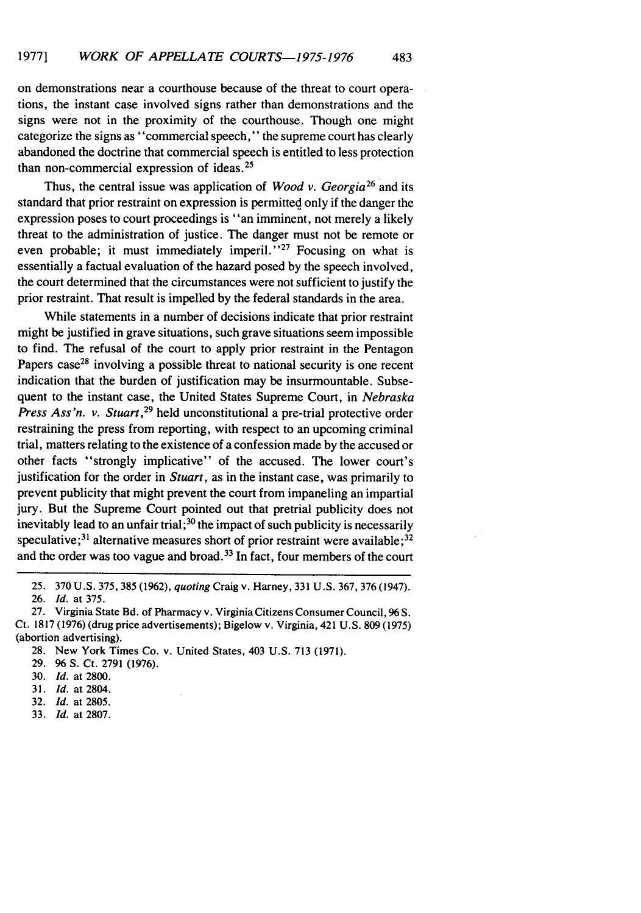on demonstrations near a courthouse because of the threat to court operations, the instant case involved signs rather than demonstrations and the signs were not in the proximity of the courthouse. Though one might categorize the signs as "commercial speech," the supreme court has clearly abandoned the doctrine that commercial speech is entitled to less protection than non-commercial expression of ideas. <sup>25</sup>

Thus, the central issue was application of *Wood v. Georgia*<sup>26</sup> and its standard that prior restraint on expression is permitted only if the danger the expression poses to court proceedings is "an imminent, not merely a likely threat to the administration of justice. The danger must not be remote or even probable; it must immediately imperil."<sup>27</sup> Focusing on what is essentially a factual evaluation of the hazard posed by the speech involved, the court determined that the circumstances were not sufficient to justify the prior restraint. That result is impelled by the federal standards in the area.

While statements in a number of decisions indicate that prior restraint might be justified in grave situations, such grave situations seem impossible to find. The refusal of the court to apply prior restraint in the Pentagon Papers case<sup>28</sup> involving a possible threat to national security is one recent indication that the burden of justification may be insurmountable. Subsequent to the instant case, the United States Supreme Court, in *Nebraska Press Ass'n. v. Stuart*,<sup>29</sup> held unconstitutional a pre-trial protective order restraining the press from reporting, with respect to an upcoming criminal trial, matters relating to the existence of a confession made by the accused or other facts "strongly implicative" of the accused. The lower court's justification for the order in *Stuart,* as in the instant case, was primarily to prevent publicity that might prevent the court from impaneling an impartial jury. But the Supreme Court pointed out that pretrial publicity does not inevitably lead to an unfair trial;<sup>30</sup> the impact of such publicity is necessarily speculative;<sup>31</sup> alternative measures short of prior restraint were available;<sup>32</sup> and the order was too vague and broad.<sup>33</sup> In fact, four members of the court

- 29. **96** S. Ct. 2791 (1976).
- 30. *Id.* at 2800.
- 31. *Id.* at 2804.
- 32. *Id.* at 2805.
- 33. Id. at 2807.

<sup>25.</sup> 370 U.S. 375, 385 (1962), *quoting* Craig v. Harney, 331 U.S. 367, 376 (1947).

<sup>26.</sup> *Id.* at 375.

<sup>27.</sup> Virginia State Bd. of Pharmacy v. Virginia Citizens Consumer Council, **96** S. Ct. 1817 (1976) (drug price advertisements); Bigelow v. Virginia, 421 U.S. 809 (1975) (abortion advertising).

<sup>28.</sup> New York Times Co. v. United States, 403 U.S. 713 (1971).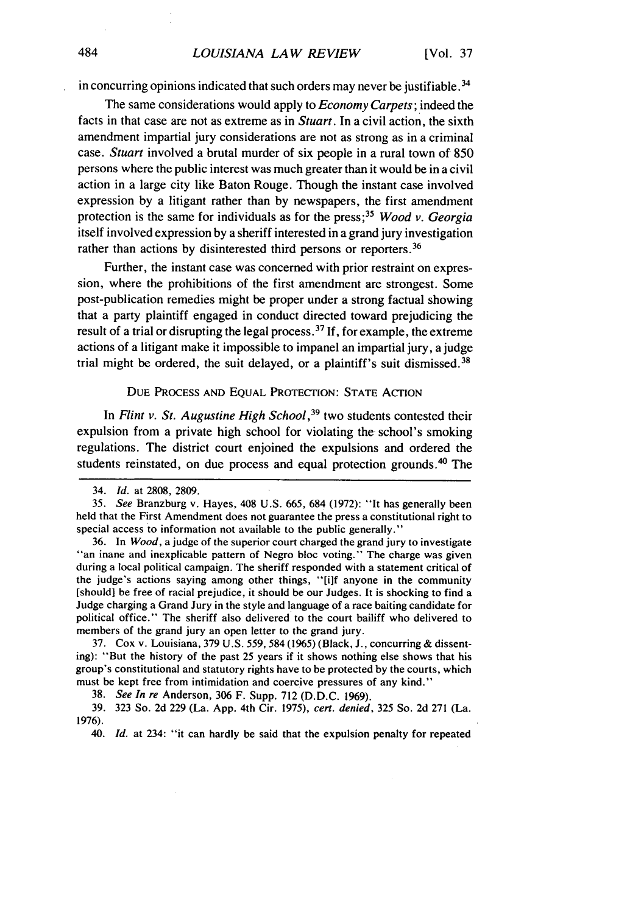in concurring opinions indicated that such orders may never be justifiable.<sup>34</sup>

The same considerations would apply to *Economy Carpets;* indeed the facts in that case are not as extreme as in *Stuart.* In a civil action, the sixth amendment impartial jury considerations are not as strong as in a criminal case. *Stuart* involved a brutal murder of six people in a rural town of 850 persons where the public interest was much greater than it would be in a civil action in a large city like Baton Rouge. Though the instant case involved expression by a litigant rather than by newspapers, the first amendment protection is the same for individuals as for the press;<sup>35</sup> *Wood v. Georgia* itself involved expression by a sheriff interested in a grand jury investigation rather than actions by disinterested third persons or reporters.<sup>36</sup>

Further, the instant case was concerned with prior restraint on expression, where the prohibitions of the first amendment are strongest. Some post-publication remedies might be proper under a strong factual showing that a party plaintiff engaged in conduct directed toward prejudicing the result of a trial or disrupting the legal process.<sup>37</sup> If, for example, the extreme actions of a litigant make it impossible to impanel an impartial jury, a judge trial might be ordered, the suit delayed, or a plaintiff's suit dismissed.<sup>38</sup>

#### DUE PROCESS **AND** EQUAL PROTECTION: **STATE** ACTION

In *Flint v. St. Augustine High School*,<sup>39</sup> two students contested their expulsion from a private high school for violating the school's smoking regulations. The district court enjoined the expulsions and ordered the students reinstated, on due process and equal protection grounds.<sup>40</sup> The

<sup>34.</sup> *Id.* at 2808, 2809.

*<sup>35.</sup> See* Branzburg v. Hayes, 408 U.S. 665, 684 (1972): "It has generally been held that the First Amendment does not guarantee the press a constitutional right to special access to information not available to the public generally."

<sup>36.</sup> In *Wood,* a judge of the superior court charged the grand jury to investigate "an inane and inexplicable pattern of Negro bloc voting." The charge was given during a local political campaign. The sheriff responded with a statement critical of the judge's actions saying among other things, "[i]f anyone in the community [should] be free of racial prejudice, it should be our Judges. It is shocking to find a Judge charging a Grand Jury in the style and language of a race baiting candidate for political office." The sheriff also delivered to the court bailiff who delivered to members of the grand jury an open letter to the grand jury.

<sup>37.</sup> Cox v. Louisiana, 379 U.S. 559, 584 **(1965)** (Black, J., concurring & dissenting): "But the history of the past 25 years if it shows nothing else shows that his group's constitutional and statutory rights have to be protected by the courts, which must be kept free from intimidation and coercive pressures of any kind."

<sup>38.</sup> *See In* re Anderson, 306 F. Supp. 712 (D.D.C. 1969).

<sup>39. 323</sup> So. 2d 229 (La. App. 4th Cir. 1975), cert. denied, 325 So. 2d 271 (La. 1976).

<sup>40.</sup> Id. at 234: "it can hardly be said that the expulsion penalty for repeated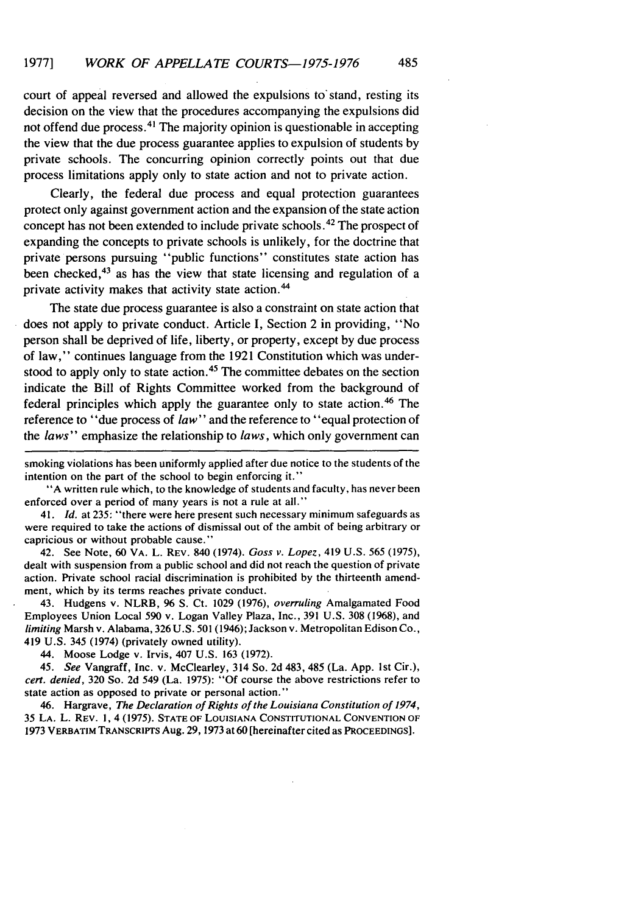court of appeal reversed and allowed the expulsions to stand, resting its decision on the view that the procedures accompanying the expulsions did not offend due process.<sup>41</sup> The majority opinion is questionable in accepting the view that the due process guarantee applies to expulsion of students by private schools. The concurring opinion correctly points out that due process limitations apply only to state action and not to private action.

Clearly, the federal due process and equal protection guarantees protect only against government action and the expansion of the state action concept has not been extended to include private schools.<sup>42</sup> The prospect of expanding the concepts to private schools is unlikely, for the doctrine that private persons pursuing "public functions" constitutes state action has been checked, $4<sup>3</sup>$  as has the view that state licensing and regulation of a private activity makes that activity state action. <sup>44</sup>

The state due process guarantee is also a constraint on state action that does not apply to private conduct. Article I, Section 2 in providing, "No person shall be deprived of life, liberty, or property, except by due process of law," continues language from the 1921 Constitution which was understood to apply only to state action.<sup>45</sup> The committee debates on the section indicate the Bill of Rights Committee worked from the background of federal principles which apply the guarantee only to state action. 46 The reference to "due process of *law"* and the reference to "equal protection of the *laws"* emphasize the relationship to *laws,* which only government can

smoking violations has been uniformly applied after due notice to the students of the intention on the part of the school to begin enforcing it."

"A written rule which, to the knowledge of students and faculty, has never been enforced over a period of many years is not a rule at all."

41. *Id.* at 235: "there were here present such necessary minimum safeguards as were required to take the actions of dismissal out of the ambit of being arbitrary or capricious or without probable cause."

42. See Note, 60 VA. L. REV. 840 (1974). *Goss v. Lopez,* 419 U.S. 565 (1975), dealt with suspension from a public school and did not reach the question of private action. Private school racial discrimination is prohibited by the thirteenth amendment, which by its terms reaches private conduct.

43. Hudgens v. NLRB, 96 **S.** Ct. 1029 (1976), *overruling* Amalgamated Food Employees Union Local 590 v. Logan Valley Plaza, Inc., 391 U.S. 308 (1968), and *limiting* Marsh v. Alabama, 326 U.S. 501 (1946); Jackson v. Metropolitan Edison Co., 419 U.S. 345 (1974) (privately owned utility).

44. Moose Lodge v. Irvis, 407 U.S. 163 (1972).

45. *See* Vangraff, Inc. v. McClearley, 314 So. 2d 483, 485 (La. App. 1st Cir.), *cert. denied,* 320 So. 2d 549 (La. 1975): "Of course the above restrictions refer to state action as opposed to private or personal action."

46. Hargrave, *The Declaration of Rights of the Louisiana Constitution of 1974,* 35 **LA.** L. **REV. 1,** 4 (1975). **STATE** OF LOUISIANA **CONSTITUTIONAL CONVENTION** OF 1973 VERBATIM TRANSCRIPTS Aug. 29, 1973 at 60 [hereinafter cited as PROCEEDINGS].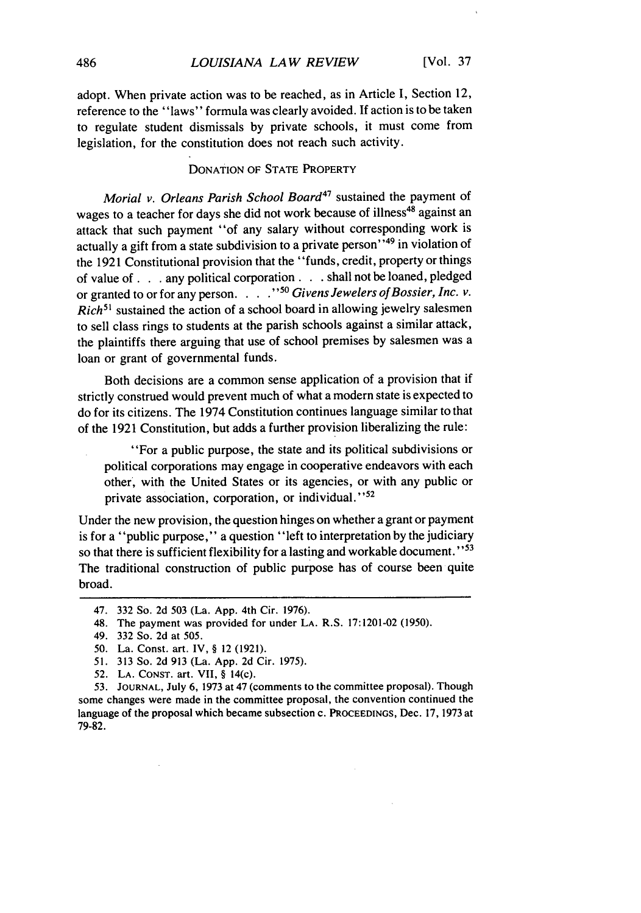adopt. When private action was to be reached, as in Article I, Section 12, reference to the "laws" formula was clearly avoided. If action is to be taken to regulate student dismissals by private schools, it must come from legislation, for the constitution does not reach such activity.

## DONATION OF STATE PROPERTY

Morial *v. Orleans Parish* School *Board47* sustained the payment of wages to a teacher for days she did not work because of illness<sup>48</sup> against an attack that such payment "of any salary without corresponding work is actually a gift from a state subdivision to a private person<sup>149</sup> in violation of the 1921 Constitutional provision that the "funds, credit, property or things of value **of. .** .any political corporation. **. .** shall not be loaned, pledged or granted to or for any person.  $\cdot$ .  $\cdot$ <sup>50</sup> Givens Jewelers of Bossier, Inc. v. *Rich*<sup>51</sup> sustained the action of a school board in allowing jewelry salesmen to sell class rings to students at the parish schools against a similar attack, the plaintiffs there arguing that use of school premises by salesmen was a loan or grant of governmental funds.

Both decisions are a common sense application of a provision that if strictly construed would prevent much of what a modern state is expected to do for its citizens. The 1974 Constitution continues language similar to that of the 1921 Constitution, but adds a further provision liberalizing the rule:

"For a public purpose, the state and its political subdivisions or political corporations may engage in cooperative endeavors with each other, with the United States or its agencies, or with any public or private association, corporation, or individual."<sup>52</sup>

Under the new provision, the question hinges on whether a grant or payment is for a "public purpose," a question "left to interpretation by the judiciary so that there is sufficient flexibility for a lasting and workable document." $53$ The traditional construction of public purpose has of course been quite broad.

53. **JOURNAL,** July 6, 1973 at 47 (comments to the committee proposal). Though some changes were made in the committee proposal, the convention continued the language of the proposal which became subsection c. **PROCEEDINGS,** Dec. 17, 1973 at 79-82.

<sup>47. 332</sup> So. 2d 503 (La. App. 4th Cir. 1976).

<sup>48.</sup> The payment was provided for under LA. R.S. 17:1201-02 (1950).

<sup>49. 332</sup> So. 2d at 505.

<sup>50.</sup> La. Const. art. IV, § 12 (1921).

*<sup>51.</sup>* 313 So. 2d 913 (La. App. 2d Cir. 1975).

<sup>52.</sup> LA. CONST. art. VII, § 14(c).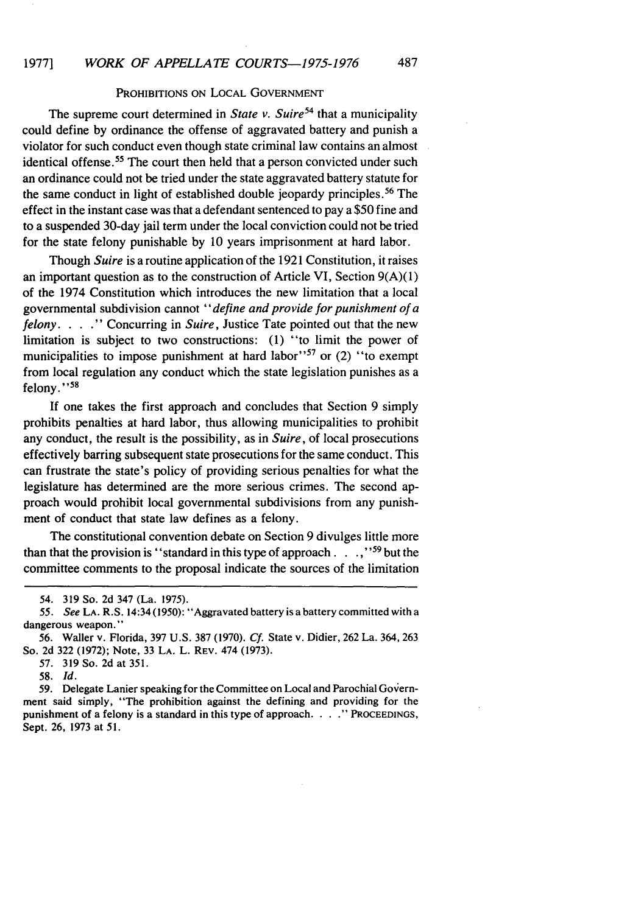## PROHIBITIONS ON LOCAL GOVERNMENT

The supreme court determined in *State v. Suire*<sup>54</sup> that a municipality could define by ordinance the offense of aggravated battery and punish a violator for such conduct even though state criminal law contains an almost identical offense.<sup>55</sup> The court then held that a person convicted under such an ordinance could not be tried under the state aggravated battery statute for the same conduct in light of established double jeopardy principles.<sup>56</sup> The effect in the instant case was that a defendant sentenced to pay a \$50 fine and to a suspended 30-day jail term under the local conviction could not be tried for the state felony punishable by 10 years imprisonment at hard labor.

Though *Suire* is a routine application of the 1921 Constitution, it raises an important question as to the construction of Article VI, Section  $9(A)(1)$ of the 1974 Constitution which introduces the new limitation that a local governmental subdivision cannot *"define and provide for punishment of a felony.* . . **."** Concurring in *Suire,* Justice Tate pointed out that the new limitation is subject to two constructions: (1) "to limit the power of municipalities to impose punishment at hard labor"<sup>57</sup> or  $(2)$  "to exempt from local regulation any conduct which the state legislation punishes as a felony. **"**

If one takes the first approach and concludes that Section 9 simply prohibits penalties at hard labor, thus allowing municipalities to prohibit any conduct, the result is the possibility, as in *Suire,* of local prosecutions effectively barring subsequent state prosecutions for the same conduct. This can frustrate the state's policy of providing serious penalties for what the legislature has determined are the more serious crimes. The second approach would prohibit local governmental subdivisions from any punishment of conduct that state law defines as a felony.

The constitutional convention debate on Section 9 divulges little more than that the provision is "standard in this type of approach.  $\ldots$ ,"<sup>59</sup> but the committee comments to the proposal indicate the sources of the limitation

<sup>54. 319</sup> So. 2d 347 (La. 1975).

<sup>55.</sup> *See* LA. R.S. 14:34 (1950): "Aggravated battery is a battery committed with a dangerous weapon."

<sup>56.</sup> Waller v. Florida, 397 U.S. 387 (1970). *Cf.* State v. Didier, 262 La. 364, 263 So. 2d 322 (1972); Note, 33 LA. L. REV. 474 (1973).

<sup>57. 319</sup> So. 2d at 351.

**<sup>58.</sup>** *Id.*

<sup>59.</sup> Delegate Lanier speaking for the Committee on Local and Parochial Government said simply, "The prohibition against the defining and providing for the punishment of a felony is a standard in this type of approach.  $\ldots$  ? PROCEEDINGS, Sept. 26, 1973 at 51.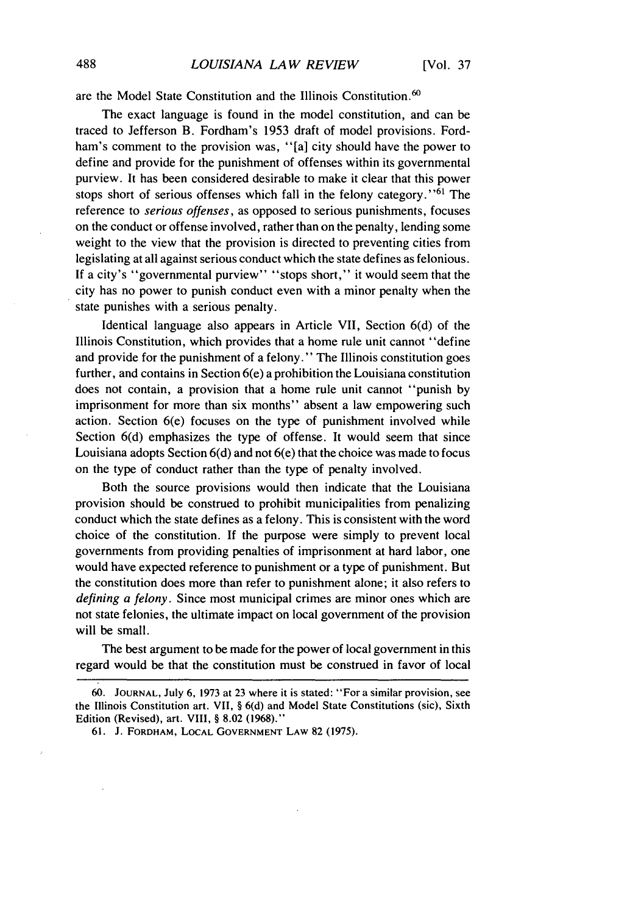are the Model State Constitution and the Illinois Constitution.<sup>60</sup>

The exact language is found in the model constitution, and can be traced to Jefferson B. Fordham's 1953 draft of model provisions. Fordham's comment to the provision was, "[a] city should have the power to define and provide for the punishment of offenses within its governmental purview. It has been considered desirable to make it clear that this power stops short of serious offenses which fall in the felony category."<sup>61</sup> The reference to serious offenses, as opposed to serious punishments, focuses on the conduct or offense involved, rather than on the penalty, lending some weight to the view that the provision is directed to preventing cities from legislating at all against serious conduct which the state defines as felonious. If a city's "governmental purview" "stops short," it would seem that the city has no power to punish conduct even with a minor penalty when the state punishes with a serious penalty.

Identical language also appears in Article VII, Section 6(d) of the Illinois Constitution, which provides that a home rule unit cannot "define and provide for the punishment of a felony." The Illinois constitution goes further, and contains in Section 6(e) a prohibition the Louisiana constitution does not contain, a provision that a home rule unit cannot "punish by imprisonment for more than six months" absent a law empowering such action. Section 6(e) focuses on the type of punishment involved while Section 6(d) emphasizes the type of offense. It would seem that since Louisiana adopts Section 6(d) and not 6(e) that the choice was made to focus on the type of conduct rather than the type of penalty involved.

Both the source provisions would then indicate that the Louisiana provision should be construed to prohibit municipalities from penalizing conduct which the state defines as a felony. This is consistent with the word choice of the constitution. If the purpose were simply to prevent local governments from providing penalties of imprisonment at hard labor, one would have expected reference to punishment or a type of punishment. But the constitution does more than refer to punishment alone; it also refers to *defining a felony.* Since most municipal crimes are minor ones which are not state felonies, the ultimate impact on local government of the provision will be small.

The best argument to be made for the power of local government in this regard would be that the constitution must be construed in favor of local

<sup>60.</sup> **JOURNAL,** July 6, 1973 at 23 where it is stated: "For a similar provision, see the Illinois Constitution art. VII, § 6(d) and Model State Constitutions (sic), Sixth Edition (Revised), art. VIII, § 8.02 (1968)."

**<sup>61.</sup>** J. FORDHAM, **LOCAL GOVERNMENT** LAW 82 (1975).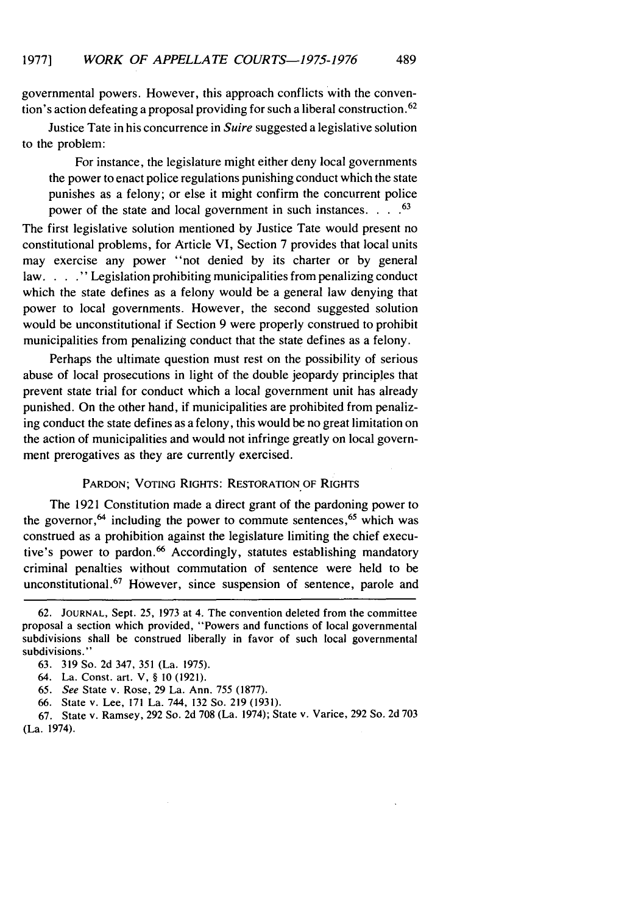governmental powers. However, this approach conflicts with the convention's action defeating a proposal providing for such a liberal construction. <sup>62</sup>

Justice Tate in his concurrence in *Suire* suggested a legislative solution to the problem:

For instance, the legislature might either deny local governments the power to enact police regulations punishing conduct which the state punishes as a felony; or else it might confirm the concurrent police power of the state and local government in such instances **.... 63**

The first legislative solution mentioned by Justice Tate would present no constitutional problems, for Article VI, Section 7 provides that local units may exercise any power "not denied by its charter or by general law....<sup>"</sup> Legislation prohibiting municipalities from penalizing conduct which the state defines as a felony would be a general law denying that power to local governments. However, the second suggested solution would be unconstitutional if Section 9 were properly construed to prohibit municipalities from penalizing conduct that the state defines as a felony.

Perhaps the ultimate question must rest on the possibility of serious abuse of local prosecutions in light of the double jeopardy principles that prevent state trial for conduct which a local government unit has already punished. On the other hand, if municipalities are prohibited from penalizing conduct the state defines as a felony, this would be no great limitation on the action of municipalities and would not infringe greatly on local government prerogatives as they are currently exercised.

# PARDON; VOTING RIGHTS: RESTORATION OF RIGHTS

The 1921 Constitution made a direct grant of the pardoning power to the governor,<sup>64</sup> including the power to commute sentences,<sup>65</sup> which was construed as a prohibition against the legislature limiting the chief executive's power to pardon.<sup>66</sup> Accordingly, statutes establishing mandatory criminal penalties without commutation of sentence were held to be unconstitutional.<sup>67</sup> However, since suspension of sentence, parole and

- 65. *See* State v. Rose, 29 La. Ann. 755 (1877).
- 66. State v. Lee, 171 La. 744, 132 So. 219 (1931).

67. State v. Ramsey, 292 So. 2d 708 (La. 1974); State v. Varice, 292 So. 2d 703 (La. 1974).

<sup>62.</sup> **JOURNAL,** Sept. 25, 1973 at 4. The convention deleted from the committee proposal a section which provided, "Powers and functions of local governmental subdivisions shall be construed liberally in favor of such local governmental subdivisions."

<sup>63. 319</sup> So. 2d 347, 351 (La. 1975).

<sup>64.</sup> La. Const. art. V, § **10** (1921).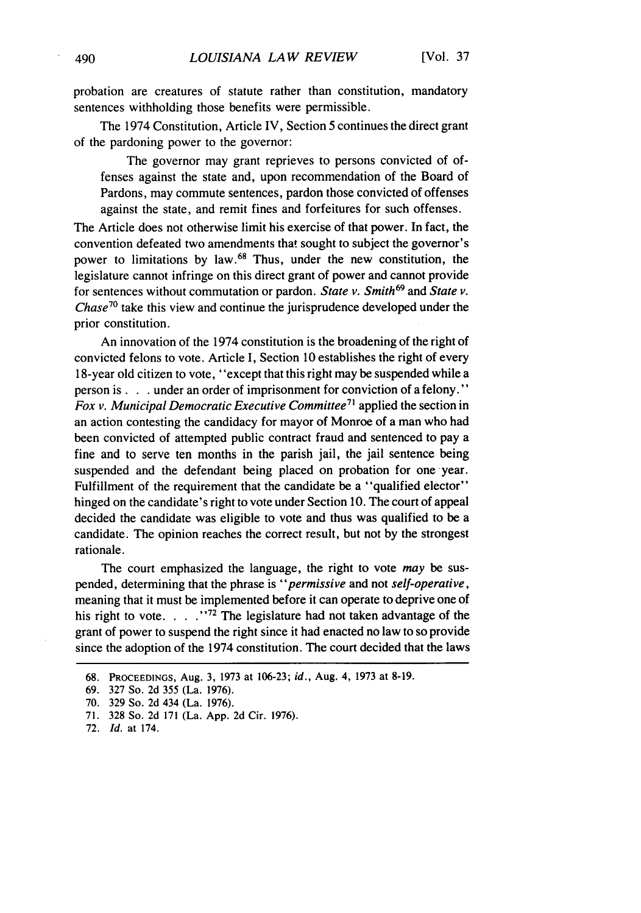probation are creatures of statute rather than constitution, mandatory sentences withholding those benefits were permissible.

The 1974 Constitution, Article IV, Section 5 continues the direct grant of the pardoning power to the governor:

The governor may grant reprieves to persons convicted of offenses against the state and, upon recommendation of the Board of Pardons, may commute sentences, pardon those convicted of offenses against the state, and remit fines and forfeitures for such offenses.

The Article does not otherwise limit his exercise of that power. In fact, the convention defeated two amendments that sought to subject the governor's power to limitations by law.<sup>68</sup> Thus, under the new constitution, the legislature cannot infringe on this direct grant of power and cannot provide for sentences without commutation or pardon. *State v. Smith69* and *State v. Chase70* take this view and continue the jurisprudence developed under the prior constitution.

An innovation of the 1974 constitution is the broadening of the right of convicted felons to vote. Article I, Section 10 establishes the right of every 18-year old citizen to vote, "except that this right may be suspended while a person **is. .** .under an order of imprisonment for conviction of a felony. **"** Fox v. Municipal Democratic Executive Committee<sup>71</sup> applied the section in an action contesting the candidacy for mayor of Monroe of a man who had been convicted of attempted public contract fraud and sentenced to pay a fine and to serve ten months in the parish jail, the jail sentence being suspended and the defendant being placed on probation for one year. Fulfillment of the requirement that the candidate be a "qualified elector" hinged on the candidate's right to vote under Section 10. The court of appeal decided the candidate was eligible to vote and thus was qualified to be a candidate. The opinion reaches the correct result, but not by the strongest rationale.

The court emphasized the language, the right to vote *may* be suspended, determining that the phrase is *"permissive* and not *self-operative,* meaning that it must be implemented before it can operate to deprive one of his right to vote....<sup>772</sup> The legislature had not taken advantage of the grant of power to suspend the right since it had enacted no law to so provide since the adoption of the 1974 constitution. The court decided that the laws

<sup>68.</sup> PROCEEDINGS, Aug. 3, 1973 at 106-23; *id.,* Aug. 4, 1973 at 8-19.

<sup>69. 327</sup> So. 2d 355 (La. 1976).

<sup>70. 329</sup> So. 2d 434 (La. 1976).

<sup>71. 328</sup> So. 2d 171 (La. App. 2d Cir. 1976).

<sup>72.</sup> *Id.* at 174.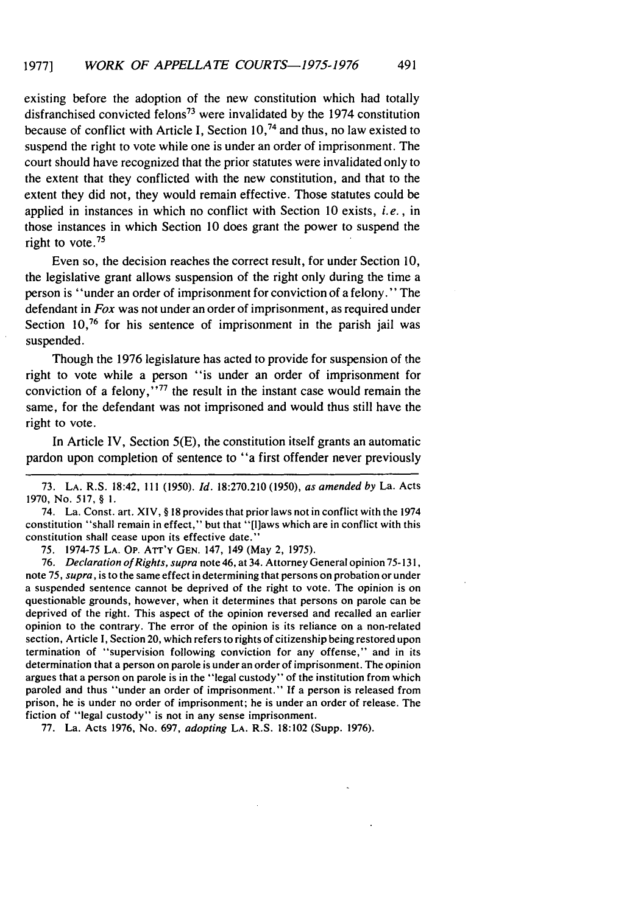existing before the adoption of the new constitution which had totally disfranchised convicted felons<sup>73</sup> were invalidated by the 1974 constitution because of conflict with Article I, Section 10, 74 and thus, no law existed to suspend the right to vote while one is under an order of imprisonment. The court should have recognized that the prior statutes were invalidated only to the extent that they conflicted with the new constitution, and that to the extent they did not, they would remain effective. Those statutes could be applied in instances in which no conflict with Section 10 exists, i.e., in those instances in which Section 10 does grant the power to suspend the right to vote **. 75**

Even so, the decision reaches the correct result, for under Section 10, the legislative grant allows suspension of the right only during the time a person is "under an order of imprisonment for conviction of a felony." The defendant in *Fox* was not under an order of imprisonment, as required under Section 10,<sup>76</sup> for his sentence of imprisonment in the parish jail was suspended.

Though the 1976 legislature has acted to provide for suspension of the right to vote while a person "is under an order of imprisonment for conviction of a felony,  $\cdot$ <sup>77</sup> the result in the instant case would remain the same, for the defendant was not imprisoned and would thus still have the right to vote.

In Article IV, Section 5(E), the constitution itself grants an automatic pardon upon completion of sentence to "a first offender never previously

74. La. Const. art. XIV, § **18** provides that prior laws not in conflict with the 1974 constitution "shall remain in effect," but that "[liaws which are in conflict with this constitution shall cease upon its effective date.'

75. 1974-75 **LA. Op.** ATr'y **GEN.** 147, 149 (May 2, 1975).

76. Declaration *of Rights, supra* note 46, at 34. Attorney General opinion 75-131, note 75, *supra,* is to the same effect in determining that persons on probation or under a suspended sentence cannot be deprived of the right to vote. The opinion is on questionable grounds, however, when it determines that persons on parole can be deprived of the right. This aspect of the opinion reversed and recalled an earlier opinion to the contrary. The error of the opinion is its reliance on a non-related section, Article I, Section 20, which refers to rights of citizenship being restored upon termination of "supervision following conviction for any offense," and in its determination that a person on parole is under an order of imprisonment. The opinion argues that a person on parole is in the "legal custody" of the institution from which paroled and thus "under an order of imprisonment." If a person is released from prison, he is under no order of imprisonment; he is under an order of release. The fiction of "legal custody" is not in any sense imprisonment.

77. La. Acts 1976, No. 697, *adopting* LA. R.S. 18:102 (Supp. 1976).

<sup>73.</sup> **LA.** R.S. 18:42, 111 (1950). Id. 18:270.210 (1950), *as amended by* La. Acts 1970, No. 517, § **1.**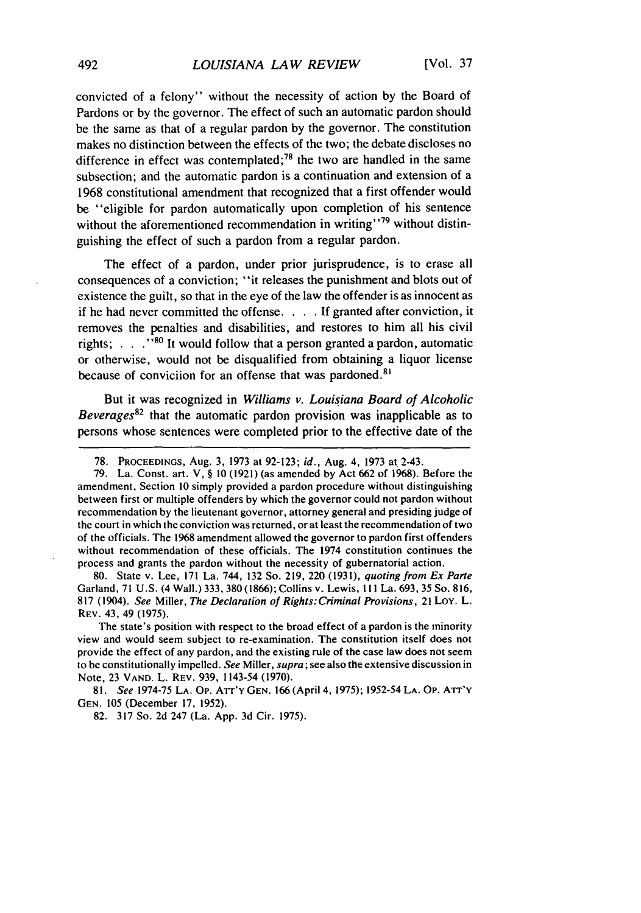convicted of a felony" without the necessity of action by the Board of Pardons or by the governor. The effect of such an automatic pardon should be the same as that of a regular pardon by the governor. The constitution makes no distinction between the effects of the two; the debate discloses no difference in effect was contemplated; $78$  the two are handled in the same subsection; and the automatic pardon is a continuation and extension of a 1968 constitutional amendment that recognized that a first offender would be "eligible for pardon automatically upon completion of his sentence without the aforementioned recommendation in writing"<sup>79</sup> without distinguishing the effect of such a pardon from a regular pardon.

The effect of a pardon, under prior jurisprudence, is to erase all consequences of a conviction; "it releases the punishment and blots out of existence the guilt, so that in the eye of the law the offender is as innocent as if he had never committed the offense. . **.** .If granted after conviction, it removes the penalties and disabilities, and restores to him all his civil rights; **. . .""It** would follow that a person granted a pardon, automatic or otherwise, would not be disqualified from obtaining a liquor license because of conviciion for an offense that was pardoned.<sup>81</sup>

But it was recognized in *Williams v. Louisiana Board of Alcoholic Beverages82* that the automatic pardon provision was inapplicable as to persons whose sentences were completed prior to the effective date of the

80. State v. Lee, 171 La. 744, 132 So. 219, 220 (1931), *quoting from Ex Parte* Garland, 71 U.S. (4 Wall.) 333,380 (1866); Collins v. Lewis, I **I I** La. 693, 35 So. 816, 817 (1904). *See* Miller, *The Declaration of Rights:Criminal Provisions,* 21 Loy. L. REV. 43, 49 (1975).

The state's position with respect to the broad effect of a pardon is the minority view and would seem subject to re-examination. The constitution itself does not provide the effect of any pardon, and the existing rule of the case law does not seem to be constitutionally impelled. *See* Miller, *supra* ; see also the extensive discussion in Note, 23 VAND. L. REV. 939, 1143-54 (1970).

81. *See* 1974-75 LA. **Op.** ATrr'y GEN. 166 (April 4, 1975); 1952-54 LA. **Op. ATr'Y** GEN. 105 (December 17, 1952).

82. 317 So. 2d 247 (La. App. 3d Cir. 1975).

<sup>78.</sup> PROCEEDINGS, Aug. 3, 1973 at 92-123; *id.,* Aug. 4, 1973 at 2-43.

<sup>79.</sup> La. Const. art. V, § 10 (1921) (as amended by Act 662 of 1968). Before the amendment, Section 10 simply provided a pardon procedure without distinguishing between first or multiple offenders by which the governor could not pardon without recommendation by the lieutenant governor, attorney general and presiding judge of the court in which the conviction was returned, or at least the recommendation of two of the officials. The **1968** amendment allowed the governor to pardon first offenders without recommendation of these officials. The 1974 constitution continues the process and grants the pardon without the necessity of gubernatorial action.